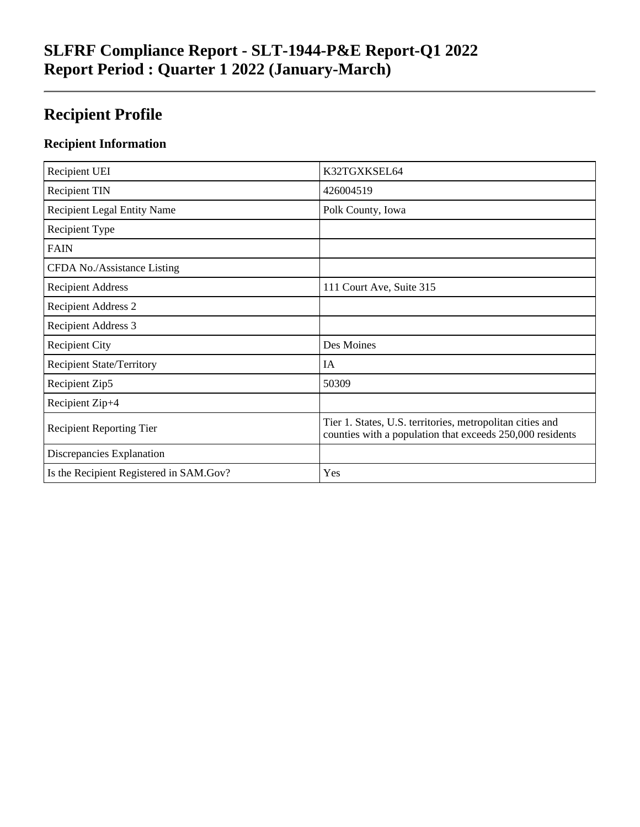## **SLFRF Compliance Report - SLT-1944-P&E Report-Q1 2022 Report Period : Quarter 1 2022 (January-March)**

## **Recipient Profile**

### **Recipient Information**

| Recipient UEI                           | K32TGXKSEL64                                                                                                           |
|-----------------------------------------|------------------------------------------------------------------------------------------------------------------------|
| <b>Recipient TIN</b>                    | 426004519                                                                                                              |
| <b>Recipient Legal Entity Name</b>      | Polk County, Iowa                                                                                                      |
| Recipient Type                          |                                                                                                                        |
| <b>FAIN</b>                             |                                                                                                                        |
| CFDA No./Assistance Listing             |                                                                                                                        |
| <b>Recipient Address</b>                | 111 Court Ave, Suite 315                                                                                               |
| <b>Recipient Address 2</b>              |                                                                                                                        |
| <b>Recipient Address 3</b>              |                                                                                                                        |
| <b>Recipient City</b>                   | Des Moines                                                                                                             |
| <b>Recipient State/Territory</b>        | IA                                                                                                                     |
| Recipient Zip5                          | 50309                                                                                                                  |
| Recipient Zip+4                         |                                                                                                                        |
| <b>Recipient Reporting Tier</b>         | Tier 1. States, U.S. territories, metropolitan cities and<br>counties with a population that exceeds 250,000 residents |
| Discrepancies Explanation               |                                                                                                                        |
| Is the Recipient Registered in SAM.Gov? | Yes                                                                                                                    |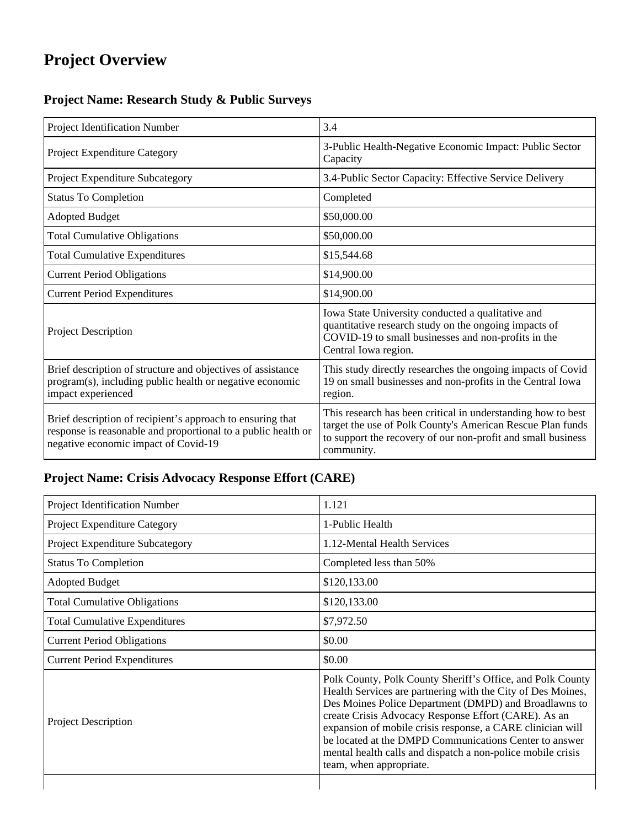## **Project Overview**

## **Project Name: Research Study & Public Surveys**

| Project Identification Number                                                                                                                                       | 3.4                                                                                                                                                                                                      |
|---------------------------------------------------------------------------------------------------------------------------------------------------------------------|----------------------------------------------------------------------------------------------------------------------------------------------------------------------------------------------------------|
| Project Expenditure Category                                                                                                                                        | 3-Public Health-Negative Economic Impact: Public Sector<br>Capacity                                                                                                                                      |
| <b>Project Expenditure Subcategory</b>                                                                                                                              | 3.4-Public Sector Capacity: Effective Service Delivery                                                                                                                                                   |
| <b>Status To Completion</b>                                                                                                                                         | Completed                                                                                                                                                                                                |
| <b>Adopted Budget</b>                                                                                                                                               | \$50,000.00                                                                                                                                                                                              |
| <b>Total Cumulative Obligations</b>                                                                                                                                 | \$50,000.00                                                                                                                                                                                              |
| <b>Total Cumulative Expenditures</b>                                                                                                                                | \$15,544.68                                                                                                                                                                                              |
| <b>Current Period Obligations</b>                                                                                                                                   | \$14,900.00                                                                                                                                                                                              |
| <b>Current Period Expenditures</b>                                                                                                                                  | \$14,900.00                                                                                                                                                                                              |
| <b>Project Description</b>                                                                                                                                          | Iowa State University conducted a qualitative and<br>quantitative research study on the ongoing impacts of<br>COVID-19 to small businesses and non-profits in the<br>Central Iowa region.                |
| Brief description of structure and objectives of assistance<br>program(s), including public health or negative economic<br>impact experienced                       | This study directly researches the ongoing impacts of Covid<br>19 on small businesses and non-profits in the Central Iowa<br>region.                                                                     |
| Brief description of recipient's approach to ensuring that<br>response is reasonable and proportional to a public health or<br>negative economic impact of Covid-19 | This research has been critical in understanding how to best<br>target the use of Polk County's American Rescue Plan funds<br>to support the recovery of our non-profit and small business<br>community. |

## **Project Name: Crisis Advocacy Response Effort (CARE)**

| Project Identification Number          | 1.121                                                                                                                                                                                                                                                                                                                                                                                                                                                        |
|----------------------------------------|--------------------------------------------------------------------------------------------------------------------------------------------------------------------------------------------------------------------------------------------------------------------------------------------------------------------------------------------------------------------------------------------------------------------------------------------------------------|
| Project Expenditure Category           | 1-Public Health                                                                                                                                                                                                                                                                                                                                                                                                                                              |
| <b>Project Expenditure Subcategory</b> | 1.12-Mental Health Services                                                                                                                                                                                                                                                                                                                                                                                                                                  |
| <b>Status To Completion</b>            | Completed less than 50%                                                                                                                                                                                                                                                                                                                                                                                                                                      |
| <b>Adopted Budget</b>                  | \$120,133.00                                                                                                                                                                                                                                                                                                                                                                                                                                                 |
| <b>Total Cumulative Obligations</b>    | \$120,133.00                                                                                                                                                                                                                                                                                                                                                                                                                                                 |
| <b>Total Cumulative Expenditures</b>   | \$7,972.50                                                                                                                                                                                                                                                                                                                                                                                                                                                   |
| <b>Current Period Obligations</b>      | \$0.00                                                                                                                                                                                                                                                                                                                                                                                                                                                       |
| <b>Current Period Expenditures</b>     | \$0.00                                                                                                                                                                                                                                                                                                                                                                                                                                                       |
| Project Description                    | Polk County, Polk County Sheriff's Office, and Polk County<br>Health Services are partnering with the City of Des Moines,<br>Des Moines Police Department (DMPD) and Broadlawns to<br>create Crisis Advocacy Response Effort (CARE). As an<br>expansion of mobile crisis response, a CARE clinician will<br>be located at the DMPD Communications Center to answer<br>mental health calls and dispatch a non-police mobile crisis<br>team, when appropriate. |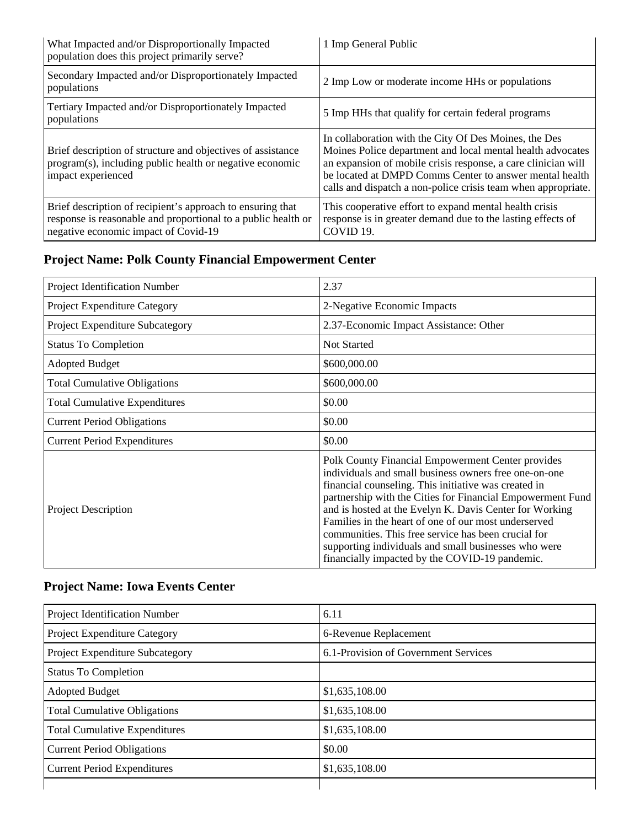| What Impacted and/or Disproportionally Impacted<br>population does this project primarily serve?                                                                    | 1 Imp General Public                                                                                                                                                                                                                                                                                             |
|---------------------------------------------------------------------------------------------------------------------------------------------------------------------|------------------------------------------------------------------------------------------------------------------------------------------------------------------------------------------------------------------------------------------------------------------------------------------------------------------|
| Secondary Impacted and/or Disproportionately Impacted<br>populations                                                                                                | 2 Imp Low or moderate income HHs or populations                                                                                                                                                                                                                                                                  |
| Tertiary Impacted and/or Disproportionately Impacted<br>populations                                                                                                 | 5 Imp HHs that qualify for certain federal programs                                                                                                                                                                                                                                                              |
| Brief description of structure and objectives of assistance<br>program(s), including public health or negative economic<br>impact experienced                       | In collaboration with the City Of Des Moines, the Des<br>Moines Police department and local mental health advocates<br>an expansion of mobile crisis response, a care clinician will<br>be located at DMPD Comms Center to answer mental health<br>calls and dispatch a non-police crisis team when appropriate. |
| Brief description of recipient's approach to ensuring that<br>response is reasonable and proportional to a public health or<br>negative economic impact of Covid-19 | This cooperative effort to expand mental health crisis<br>response is in greater demand due to the lasting effects of<br>COVID <sub>19</sub> .                                                                                                                                                                   |

## **Project Name: Polk County Financial Empowerment Center**

| Project Identification Number        | 2.37                                                                                                                                                                                                                                                                                                                                                                                                                                                                                                                 |
|--------------------------------------|----------------------------------------------------------------------------------------------------------------------------------------------------------------------------------------------------------------------------------------------------------------------------------------------------------------------------------------------------------------------------------------------------------------------------------------------------------------------------------------------------------------------|
| Project Expenditure Category         | 2-Negative Economic Impacts                                                                                                                                                                                                                                                                                                                                                                                                                                                                                          |
| Project Expenditure Subcategory      | 2.37-Economic Impact Assistance: Other                                                                                                                                                                                                                                                                                                                                                                                                                                                                               |
| <b>Status To Completion</b>          | <b>Not Started</b>                                                                                                                                                                                                                                                                                                                                                                                                                                                                                                   |
| <b>Adopted Budget</b>                | \$600,000.00                                                                                                                                                                                                                                                                                                                                                                                                                                                                                                         |
| <b>Total Cumulative Obligations</b>  | \$600,000.00                                                                                                                                                                                                                                                                                                                                                                                                                                                                                                         |
| <b>Total Cumulative Expenditures</b> | \$0.00                                                                                                                                                                                                                                                                                                                                                                                                                                                                                                               |
| <b>Current Period Obligations</b>    | \$0.00                                                                                                                                                                                                                                                                                                                                                                                                                                                                                                               |
| <b>Current Period Expenditures</b>   | \$0.00                                                                                                                                                                                                                                                                                                                                                                                                                                                                                                               |
| <b>Project Description</b>           | Polk County Financial Empowerment Center provides<br>individuals and small business owners free one-on-one<br>financial counseling. This initiative was created in<br>partnership with the Cities for Financial Empowerment Fund<br>and is hosted at the Evelyn K. Davis Center for Working<br>Families in the heart of one of our most underserved<br>communities. This free service has been crucial for<br>supporting individuals and small businesses who were<br>financially impacted by the COVID-19 pandemic. |

## **Project Name: Iowa Events Center**

| Project Identification Number        | 6.11                                 |
|--------------------------------------|--------------------------------------|
| Project Expenditure Category         | 6-Revenue Replacement                |
| Project Expenditure Subcategory      | 6.1-Provision of Government Services |
| <b>Status To Completion</b>          |                                      |
| <b>Adopted Budget</b>                | \$1,635,108.00                       |
| <b>Total Cumulative Obligations</b>  | \$1,635,108.00                       |
| <b>Total Cumulative Expenditures</b> | \$1,635,108.00                       |
| <b>Current Period Obligations</b>    | \$0.00                               |
| <b>Current Period Expenditures</b>   | \$1,635,108.00                       |
|                                      |                                      |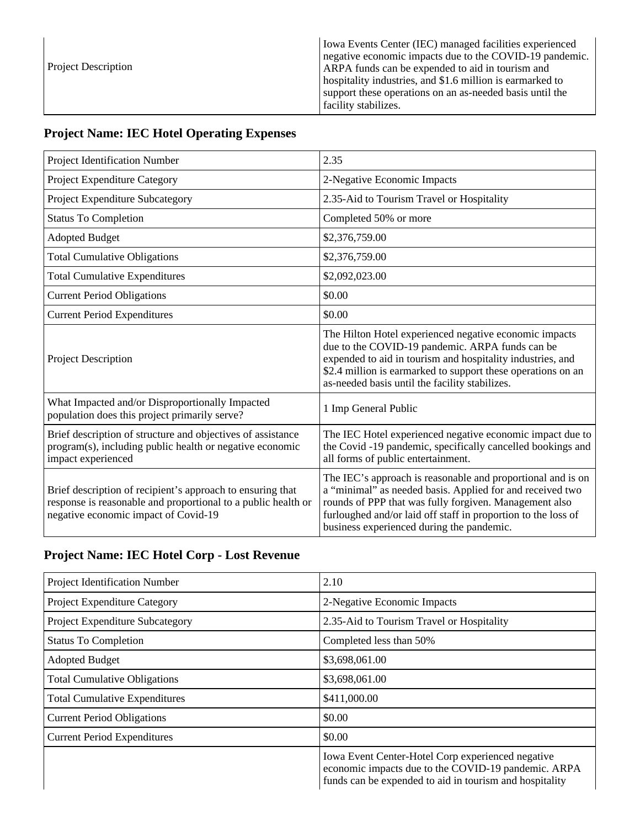| <b>Project Description</b> | Iowa Events Center (IEC) managed facilities experienced<br>negative economic impacts due to the COVID-19 pandemic.<br>ARPA funds can be expended to aid in tourism and<br>hospitality industries, and \$1.6 million is earmarked to<br>support these operations on an as-needed basis until the<br>facility stabilizes. |
|----------------------------|-------------------------------------------------------------------------------------------------------------------------------------------------------------------------------------------------------------------------------------------------------------------------------------------------------------------------|
|----------------------------|-------------------------------------------------------------------------------------------------------------------------------------------------------------------------------------------------------------------------------------------------------------------------------------------------------------------------|

## **Project Name: IEC Hotel Operating Expenses**

| Project Identification Number                                                                                                                                       | 2.35                                                                                                                                                                                                                                                                                             |
|---------------------------------------------------------------------------------------------------------------------------------------------------------------------|--------------------------------------------------------------------------------------------------------------------------------------------------------------------------------------------------------------------------------------------------------------------------------------------------|
| Project Expenditure Category                                                                                                                                        | 2-Negative Economic Impacts                                                                                                                                                                                                                                                                      |
| Project Expenditure Subcategory                                                                                                                                     | 2.35-Aid to Tourism Travel or Hospitality                                                                                                                                                                                                                                                        |
| <b>Status To Completion</b>                                                                                                                                         | Completed 50% or more                                                                                                                                                                                                                                                                            |
| <b>Adopted Budget</b>                                                                                                                                               | \$2,376,759.00                                                                                                                                                                                                                                                                                   |
| <b>Total Cumulative Obligations</b>                                                                                                                                 | \$2,376,759.00                                                                                                                                                                                                                                                                                   |
| <b>Total Cumulative Expenditures</b>                                                                                                                                | \$2,092,023.00                                                                                                                                                                                                                                                                                   |
| <b>Current Period Obligations</b>                                                                                                                                   | \$0.00                                                                                                                                                                                                                                                                                           |
| <b>Current Period Expenditures</b>                                                                                                                                  | \$0.00                                                                                                                                                                                                                                                                                           |
| Project Description                                                                                                                                                 | The Hilton Hotel experienced negative economic impacts<br>due to the COVID-19 pandemic. ARPA funds can be<br>expended to aid in tourism and hospitality industries, and<br>\$2.4 million is earmarked to support these operations on an<br>as-needed basis until the facility stabilizes.        |
| What Impacted and/or Disproportionally Impacted<br>population does this project primarily serve?                                                                    | 1 Imp General Public                                                                                                                                                                                                                                                                             |
| Brief description of structure and objectives of assistance<br>program(s), including public health or negative economic<br>impact experienced                       | The IEC Hotel experienced negative economic impact due to<br>the Covid -19 pandemic, specifically cancelled bookings and<br>all forms of public entertainment.                                                                                                                                   |
| Brief description of recipient's approach to ensuring that<br>response is reasonable and proportional to a public health or<br>negative economic impact of Covid-19 | The IEC's approach is reasonable and proportional and is on<br>a "minimal" as needed basis. Applied for and received two<br>rounds of PPP that was fully forgiven. Management also<br>furloughed and/or laid off staff in proportion to the loss of<br>business experienced during the pandemic. |

## **Project Name: IEC Hotel Corp - Lost Revenue**

| Project Identification Number        | 2.10                                                                                                                                                                |
|--------------------------------------|---------------------------------------------------------------------------------------------------------------------------------------------------------------------|
| Project Expenditure Category         | 2-Negative Economic Impacts                                                                                                                                         |
| Project Expenditure Subcategory      | 2.35-Aid to Tourism Travel or Hospitality                                                                                                                           |
| <b>Status To Completion</b>          | Completed less than 50%                                                                                                                                             |
| <b>Adopted Budget</b>                | \$3,698,061.00                                                                                                                                                      |
| <b>Total Cumulative Obligations</b>  | \$3,698,061.00                                                                                                                                                      |
| <b>Total Cumulative Expenditures</b> | \$411,000.00                                                                                                                                                        |
| <b>Current Period Obligations</b>    | \$0.00                                                                                                                                                              |
| <b>Current Period Expenditures</b>   | \$0.00                                                                                                                                                              |
|                                      | Iowa Event Center-Hotel Corp experienced negative<br>economic impacts due to the COVID-19 pandemic. ARPA<br>funds can be expended to aid in tourism and hospitality |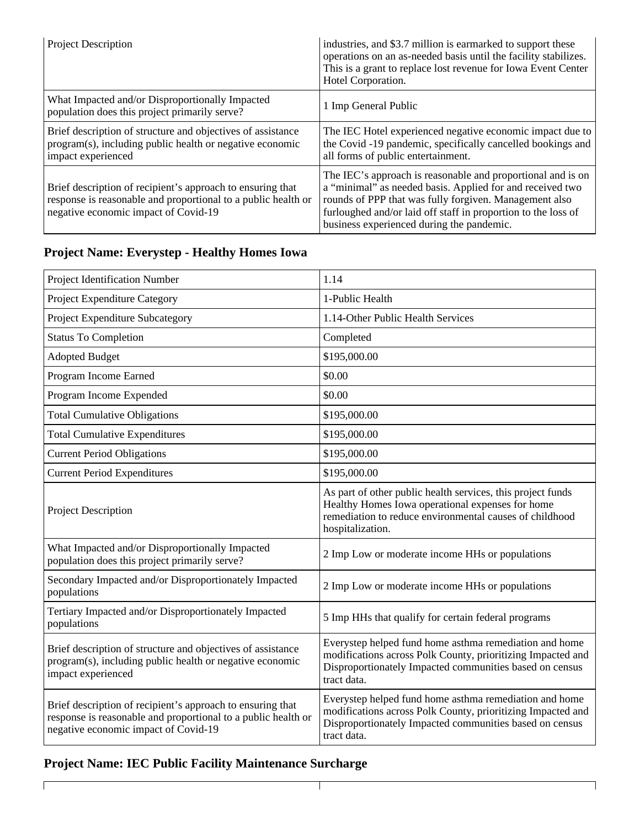| Project Description                                                                                                                                                 | industries, and \$3.7 million is earmarked to support these<br>operations on an as-needed basis until the facility stabilizes.<br>This is a grant to replace lost revenue for Iowa Event Center<br>Hotel Corporation.                                                                            |
|---------------------------------------------------------------------------------------------------------------------------------------------------------------------|--------------------------------------------------------------------------------------------------------------------------------------------------------------------------------------------------------------------------------------------------------------------------------------------------|
| What Impacted and/or Disproportionally Impacted<br>population does this project primarily serve?                                                                    | 1 Imp General Public                                                                                                                                                                                                                                                                             |
| Brief description of structure and objectives of assistance<br>program(s), including public health or negative economic<br>impact experienced                       | The IEC Hotel experienced negative economic impact due to<br>the Covid-19 pandemic, specifically cancelled bookings and<br>all forms of public entertainment.                                                                                                                                    |
| Brief description of recipient's approach to ensuring that<br>response is reasonable and proportional to a public health or<br>negative economic impact of Covid-19 | The IEC's approach is reasonable and proportional and is on<br>a "minimal" as needed basis. Applied for and received two<br>rounds of PPP that was fully forgiven. Management also<br>furloughed and/or laid off staff in proportion to the loss of<br>business experienced during the pandemic. |

## **Project Name: Everystep - Healthy Homes Iowa**

| Project Identification Number                                                                                                                                       | 1.14                                                                                                                                                                                            |
|---------------------------------------------------------------------------------------------------------------------------------------------------------------------|-------------------------------------------------------------------------------------------------------------------------------------------------------------------------------------------------|
| Project Expenditure Category                                                                                                                                        | 1-Public Health                                                                                                                                                                                 |
| Project Expenditure Subcategory                                                                                                                                     | 1.14-Other Public Health Services                                                                                                                                                               |
| <b>Status To Completion</b>                                                                                                                                         | Completed                                                                                                                                                                                       |
| <b>Adopted Budget</b>                                                                                                                                               | \$195,000.00                                                                                                                                                                                    |
| Program Income Earned                                                                                                                                               | \$0.00                                                                                                                                                                                          |
| Program Income Expended                                                                                                                                             | \$0.00                                                                                                                                                                                          |
| <b>Total Cumulative Obligations</b>                                                                                                                                 | \$195,000.00                                                                                                                                                                                    |
| <b>Total Cumulative Expenditures</b>                                                                                                                                | \$195,000.00                                                                                                                                                                                    |
| <b>Current Period Obligations</b>                                                                                                                                   | \$195,000.00                                                                                                                                                                                    |
| <b>Current Period Expenditures</b>                                                                                                                                  | \$195,000.00                                                                                                                                                                                    |
| <b>Project Description</b>                                                                                                                                          | As part of other public health services, this project funds<br>Healthy Homes Iowa operational expenses for home<br>remediation to reduce environmental causes of childhood<br>hospitalization.  |
| What Impacted and/or Disproportionally Impacted<br>population does this project primarily serve?                                                                    | 2 Imp Low or moderate income HHs or populations                                                                                                                                                 |
| Secondary Impacted and/or Disproportionately Impacted<br>populations                                                                                                | 2 Imp Low or moderate income HHs or populations                                                                                                                                                 |
| Tertiary Impacted and/or Disproportionately Impacted<br>populations                                                                                                 | 5 Imp HHs that qualify for certain federal programs                                                                                                                                             |
| Brief description of structure and objectives of assistance<br>program(s), including public health or negative economic<br>impact experienced                       | Everystep helped fund home asthma remediation and home<br>modifications across Polk County, prioritizing Impacted and<br>Disproportionately Impacted communities based on census<br>tract data. |
| Brief description of recipient's approach to ensuring that<br>response is reasonable and proportional to a public health or<br>negative economic impact of Covid-19 | Everystep helped fund home asthma remediation and home<br>modifications across Polk County, prioritizing Impacted and<br>Disproportionately Impacted communities based on census<br>tract data. |

 $\top$ 

٦

## **Project Name: IEC Public Facility Maintenance Surcharge**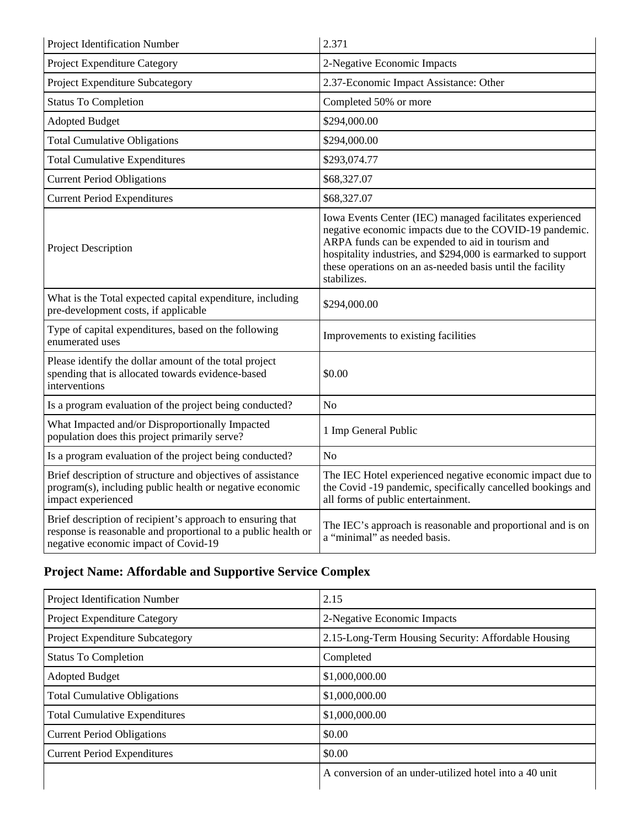| Project Identification Number                                                                                                                                       | 2.371                                                                                                                                                                                                                                                                                                                |
|---------------------------------------------------------------------------------------------------------------------------------------------------------------------|----------------------------------------------------------------------------------------------------------------------------------------------------------------------------------------------------------------------------------------------------------------------------------------------------------------------|
| Project Expenditure Category                                                                                                                                        | 2-Negative Economic Impacts                                                                                                                                                                                                                                                                                          |
| Project Expenditure Subcategory                                                                                                                                     | 2.37-Economic Impact Assistance: Other                                                                                                                                                                                                                                                                               |
| <b>Status To Completion</b>                                                                                                                                         | Completed 50% or more                                                                                                                                                                                                                                                                                                |
| <b>Adopted Budget</b>                                                                                                                                               | \$294,000.00                                                                                                                                                                                                                                                                                                         |
| <b>Total Cumulative Obligations</b>                                                                                                                                 | \$294,000.00                                                                                                                                                                                                                                                                                                         |
| <b>Total Cumulative Expenditures</b>                                                                                                                                | \$293,074.77                                                                                                                                                                                                                                                                                                         |
| <b>Current Period Obligations</b>                                                                                                                                   | \$68,327.07                                                                                                                                                                                                                                                                                                          |
| <b>Current Period Expenditures</b>                                                                                                                                  | \$68,327.07                                                                                                                                                                                                                                                                                                          |
| <b>Project Description</b>                                                                                                                                          | Iowa Events Center (IEC) managed facilitates experienced<br>negative economic impacts due to the COVID-19 pandemic.<br>ARPA funds can be expended to aid in tourism and<br>hospitality industries, and \$294,000 is earmarked to support<br>these operations on an as-needed basis until the facility<br>stabilizes. |
| What is the Total expected capital expenditure, including<br>pre-development costs, if applicable                                                                   | \$294,000.00                                                                                                                                                                                                                                                                                                         |
| Type of capital expenditures, based on the following<br>enumerated uses                                                                                             | Improvements to existing facilities                                                                                                                                                                                                                                                                                  |
| Please identify the dollar amount of the total project<br>spending that is allocated towards evidence-based<br>interventions                                        | \$0.00                                                                                                                                                                                                                                                                                                               |
| Is a program evaluation of the project being conducted?                                                                                                             | N <sub>o</sub>                                                                                                                                                                                                                                                                                                       |
| What Impacted and/or Disproportionally Impacted<br>population does this project primarily serve?                                                                    | 1 Imp General Public                                                                                                                                                                                                                                                                                                 |
| Is a program evaluation of the project being conducted?                                                                                                             | N <sub>o</sub>                                                                                                                                                                                                                                                                                                       |
| Brief description of structure and objectives of assistance<br>program(s), including public health or negative economic<br>impact experienced                       | The IEC Hotel experienced negative economic impact due to<br>the Covid-19 pandemic, specifically cancelled bookings and<br>all forms of public entertainment.                                                                                                                                                        |
| Brief description of recipient's approach to ensuring that<br>response is reasonable and proportional to a public health or<br>negative economic impact of Covid-19 | The IEC's approach is reasonable and proportional and is on<br>a "minimal" as needed basis.                                                                                                                                                                                                                          |

## **Project Name: Affordable and Supportive Service Complex**

| Project Identification Number        | 2.15                                                   |
|--------------------------------------|--------------------------------------------------------|
| <b>Project Expenditure Category</b>  | 2-Negative Economic Impacts                            |
| Project Expenditure Subcategory      | 2.15-Long-Term Housing Security: Affordable Housing    |
| <b>Status To Completion</b>          | Completed                                              |
| <b>Adopted Budget</b>                | \$1,000,000.00                                         |
| <b>Total Cumulative Obligations</b>  | \$1,000,000.00                                         |
| <b>Total Cumulative Expenditures</b> | \$1,000,000.00                                         |
| <b>Current Period Obligations</b>    | \$0.00                                                 |
| <b>Current Period Expenditures</b>   | \$0.00                                                 |
|                                      | A conversion of an under-utilized hotel into a 40 unit |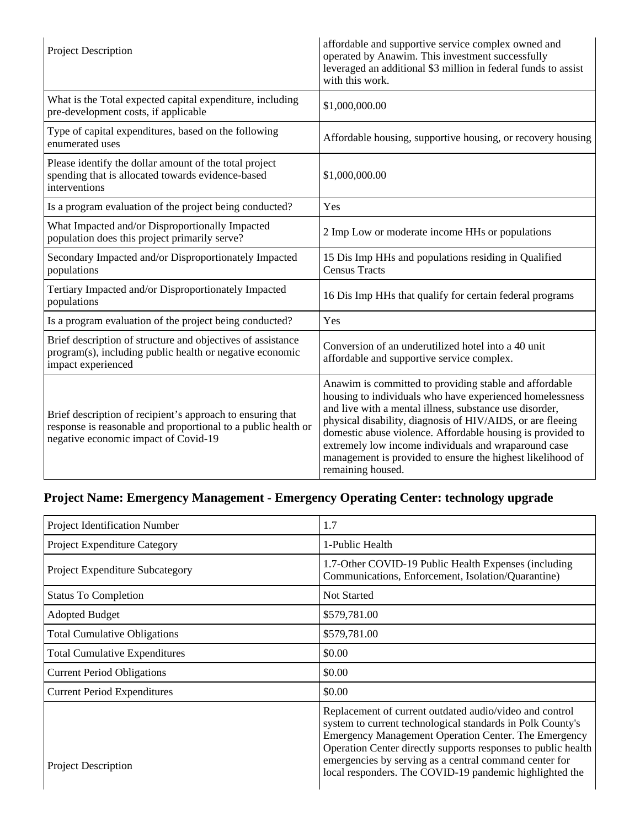| Project Description                                                                                                                                                 | affordable and supportive service complex owned and<br>operated by Anawim. This investment successfully<br>leveraged an additional \$3 million in federal funds to assist<br>with this work.                                                                                                                                                                                                                                                         |
|---------------------------------------------------------------------------------------------------------------------------------------------------------------------|------------------------------------------------------------------------------------------------------------------------------------------------------------------------------------------------------------------------------------------------------------------------------------------------------------------------------------------------------------------------------------------------------------------------------------------------------|
| What is the Total expected capital expenditure, including<br>pre-development costs, if applicable                                                                   | \$1,000,000.00                                                                                                                                                                                                                                                                                                                                                                                                                                       |
| Type of capital expenditures, based on the following<br>enumerated uses                                                                                             | Affordable housing, supportive housing, or recovery housing                                                                                                                                                                                                                                                                                                                                                                                          |
| Please identify the dollar amount of the total project<br>spending that is allocated towards evidence-based<br>interventions                                        | \$1,000,000.00                                                                                                                                                                                                                                                                                                                                                                                                                                       |
| Is a program evaluation of the project being conducted?                                                                                                             | Yes                                                                                                                                                                                                                                                                                                                                                                                                                                                  |
| What Impacted and/or Disproportionally Impacted<br>population does this project primarily serve?                                                                    | 2 Imp Low or moderate income HHs or populations                                                                                                                                                                                                                                                                                                                                                                                                      |
| Secondary Impacted and/or Disproportionately Impacted<br>populations                                                                                                | 15 Dis Imp HHs and populations residing in Qualified<br><b>Census Tracts</b>                                                                                                                                                                                                                                                                                                                                                                         |
| Tertiary Impacted and/or Disproportionately Impacted<br>populations                                                                                                 | 16 Dis Imp HHs that qualify for certain federal programs                                                                                                                                                                                                                                                                                                                                                                                             |
| Is a program evaluation of the project being conducted?                                                                                                             | Yes                                                                                                                                                                                                                                                                                                                                                                                                                                                  |
| Brief description of structure and objectives of assistance<br>program(s), including public health or negative economic<br>impact experienced                       | Conversion of an underutilized hotel into a 40 unit<br>affordable and supportive service complex.                                                                                                                                                                                                                                                                                                                                                    |
| Brief description of recipient's approach to ensuring that<br>response is reasonable and proportional to a public health or<br>negative economic impact of Covid-19 | Anawim is committed to providing stable and affordable<br>housing to individuals who have experienced homelessness<br>and live with a mental illness, substance use disorder,<br>physical disability, diagnosis of HIV/AIDS, or are fleeing<br>domestic abuse violence. Affordable housing is provided to<br>extremely low income individuals and wraparound case<br>management is provided to ensure the highest likelihood of<br>remaining housed. |

## **Project Name: Emergency Management - Emergency Operating Center: technology upgrade**

| Project Identification Number        | 1.7                                                                                                                                                                                                                                                                                                                                                                 |
|--------------------------------------|---------------------------------------------------------------------------------------------------------------------------------------------------------------------------------------------------------------------------------------------------------------------------------------------------------------------------------------------------------------------|
| Project Expenditure Category         | 1-Public Health                                                                                                                                                                                                                                                                                                                                                     |
| Project Expenditure Subcategory      | 1.7-Other COVID-19 Public Health Expenses (including<br>Communications, Enforcement, Isolation/Quarantine)                                                                                                                                                                                                                                                          |
| <b>Status To Completion</b>          | <b>Not Started</b>                                                                                                                                                                                                                                                                                                                                                  |
| <b>Adopted Budget</b>                | \$579,781.00                                                                                                                                                                                                                                                                                                                                                        |
| <b>Total Cumulative Obligations</b>  | \$579,781.00                                                                                                                                                                                                                                                                                                                                                        |
| <b>Total Cumulative Expenditures</b> | \$0.00                                                                                                                                                                                                                                                                                                                                                              |
| <b>Current Period Obligations</b>    | \$0.00                                                                                                                                                                                                                                                                                                                                                              |
| <b>Current Period Expenditures</b>   | \$0.00                                                                                                                                                                                                                                                                                                                                                              |
| Project Description                  | Replacement of current outdated audio/video and control<br>system to current technological standards in Polk County's<br>Emergency Management Operation Center. The Emergency<br>Operation Center directly supports responses to public health<br>emergencies by serving as a central command center for<br>local responders. The COVID-19 pandemic highlighted the |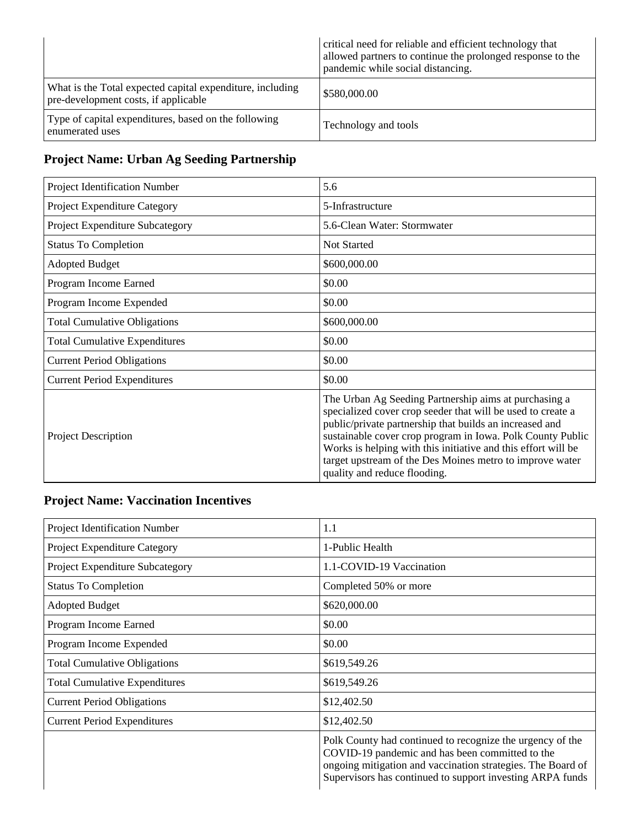|                                                                                                   | critical need for reliable and efficient technology that<br>allowed partners to continue the prolonged response to the<br>pandemic while social distancing. |
|---------------------------------------------------------------------------------------------------|-------------------------------------------------------------------------------------------------------------------------------------------------------------|
| What is the Total expected capital expenditure, including<br>pre-development costs, if applicable | \$580,000.00                                                                                                                                                |
| Type of capital expenditures, based on the following<br>enumerated uses                           | Technology and tools                                                                                                                                        |

## **Project Name: Urban Ag Seeding Partnership**

| Project Identification Number        | 5.6                                                                                                                                                                                                                                                                                                                                                                                                        |
|--------------------------------------|------------------------------------------------------------------------------------------------------------------------------------------------------------------------------------------------------------------------------------------------------------------------------------------------------------------------------------------------------------------------------------------------------------|
| Project Expenditure Category         | 5-Infrastructure                                                                                                                                                                                                                                                                                                                                                                                           |
| Project Expenditure Subcategory      | 5.6-Clean Water: Stormwater                                                                                                                                                                                                                                                                                                                                                                                |
| <b>Status To Completion</b>          | Not Started                                                                                                                                                                                                                                                                                                                                                                                                |
| <b>Adopted Budget</b>                | \$600,000.00                                                                                                                                                                                                                                                                                                                                                                                               |
| Program Income Earned                | \$0.00                                                                                                                                                                                                                                                                                                                                                                                                     |
| Program Income Expended              | \$0.00                                                                                                                                                                                                                                                                                                                                                                                                     |
| <b>Total Cumulative Obligations</b>  | \$600,000.00                                                                                                                                                                                                                                                                                                                                                                                               |
| <b>Total Cumulative Expenditures</b> | \$0.00                                                                                                                                                                                                                                                                                                                                                                                                     |
| <b>Current Period Obligations</b>    | \$0.00                                                                                                                                                                                                                                                                                                                                                                                                     |
| <b>Current Period Expenditures</b>   | \$0.00                                                                                                                                                                                                                                                                                                                                                                                                     |
| <b>Project Description</b>           | The Urban Ag Seeding Partnership aims at purchasing a<br>specialized cover crop seeder that will be used to create a<br>public/private partnership that builds an increased and<br>sustainable cover crop program in Iowa. Polk County Public<br>Works is helping with this initiative and this effort will be<br>target upstream of the Des Moines metro to improve water<br>quality and reduce flooding. |

## **Project Name: Vaccination Incentives**

| Project Identification Number        | 1.1                                                                                                                                                                                                                                      |
|--------------------------------------|------------------------------------------------------------------------------------------------------------------------------------------------------------------------------------------------------------------------------------------|
| Project Expenditure Category         | 1-Public Health                                                                                                                                                                                                                          |
| Project Expenditure Subcategory      | 1.1-COVID-19 Vaccination                                                                                                                                                                                                                 |
| <b>Status To Completion</b>          | Completed 50% or more                                                                                                                                                                                                                    |
| <b>Adopted Budget</b>                | \$620,000.00                                                                                                                                                                                                                             |
| Program Income Earned                | \$0.00                                                                                                                                                                                                                                   |
| Program Income Expended              | \$0.00                                                                                                                                                                                                                                   |
| <b>Total Cumulative Obligations</b>  | \$619,549.26                                                                                                                                                                                                                             |
| <b>Total Cumulative Expenditures</b> | \$619,549.26                                                                                                                                                                                                                             |
| <b>Current Period Obligations</b>    | \$12,402.50                                                                                                                                                                                                                              |
| <b>Current Period Expenditures</b>   | \$12,402.50                                                                                                                                                                                                                              |
|                                      | Polk County had continued to recognize the urgency of the<br>COVID-19 pandemic and has been committed to the<br>ongoing mitigation and vaccination strategies. The Board of<br>Supervisors has continued to support investing ARPA funds |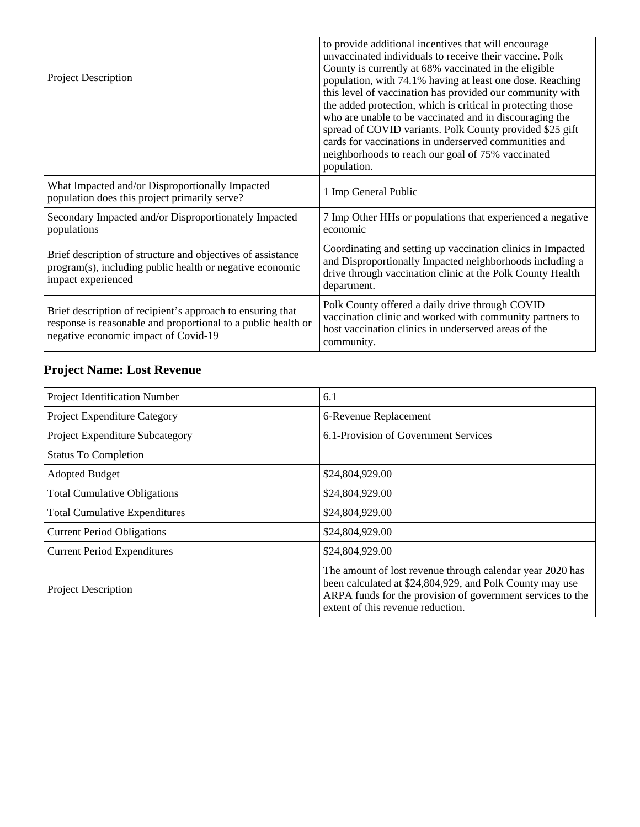| <b>Project Description</b>                                                                                                                                          | to provide additional incentives that will encourage<br>unvaccinated individuals to receive their vaccine. Polk<br>County is currently at 68% vaccinated in the eligible<br>population, with 74.1% having at least one dose. Reaching<br>this level of vaccination has provided our community with<br>the added protection, which is critical in protecting those<br>who are unable to be vaccinated and in discouraging the<br>spread of COVID variants. Polk County provided \$25 gift<br>cards for vaccinations in underserved communities and<br>neighborhoods to reach our goal of 75% vaccinated<br>population. |
|---------------------------------------------------------------------------------------------------------------------------------------------------------------------|-----------------------------------------------------------------------------------------------------------------------------------------------------------------------------------------------------------------------------------------------------------------------------------------------------------------------------------------------------------------------------------------------------------------------------------------------------------------------------------------------------------------------------------------------------------------------------------------------------------------------|
| What Impacted and/or Disproportionally Impacted<br>population does this project primarily serve?                                                                    | 1 Imp General Public                                                                                                                                                                                                                                                                                                                                                                                                                                                                                                                                                                                                  |
| Secondary Impacted and/or Disproportionately Impacted<br>populations                                                                                                | 7 Imp Other HHs or populations that experienced a negative<br>economic                                                                                                                                                                                                                                                                                                                                                                                                                                                                                                                                                |
| Brief description of structure and objectives of assistance<br>program(s), including public health or negative economic<br>impact experienced                       | Coordinating and setting up vaccination clinics in Impacted<br>and Disproportionally Impacted neighborhoods including a<br>drive through vaccination clinic at the Polk County Health<br>department.                                                                                                                                                                                                                                                                                                                                                                                                                  |
| Brief description of recipient's approach to ensuring that<br>response is reasonable and proportional to a public health or<br>negative economic impact of Covid-19 | Polk County offered a daily drive through COVID<br>vaccination clinic and worked with community partners to<br>host vaccination clinics in underserved areas of the<br>community.                                                                                                                                                                                                                                                                                                                                                                                                                                     |

## **Project Name: Lost Revenue**

| Project Identification Number        | 6.1                                                                                                                                                                                                                      |
|--------------------------------------|--------------------------------------------------------------------------------------------------------------------------------------------------------------------------------------------------------------------------|
| Project Expenditure Category         | 6-Revenue Replacement                                                                                                                                                                                                    |
| Project Expenditure Subcategory      | 6.1-Provision of Government Services                                                                                                                                                                                     |
| <b>Status To Completion</b>          |                                                                                                                                                                                                                          |
| <b>Adopted Budget</b>                | \$24,804,929.00                                                                                                                                                                                                          |
| <b>Total Cumulative Obligations</b>  | \$24,804,929.00                                                                                                                                                                                                          |
| <b>Total Cumulative Expenditures</b> | \$24,804,929.00                                                                                                                                                                                                          |
| <b>Current Period Obligations</b>    | \$24,804,929.00                                                                                                                                                                                                          |
| <b>Current Period Expenditures</b>   | \$24,804,929.00                                                                                                                                                                                                          |
| <b>Project Description</b>           | The amount of lost revenue through calendar year 2020 has<br>been calculated at \$24,804,929, and Polk County may use<br>ARPA funds for the provision of government services to the<br>extent of this revenue reduction. |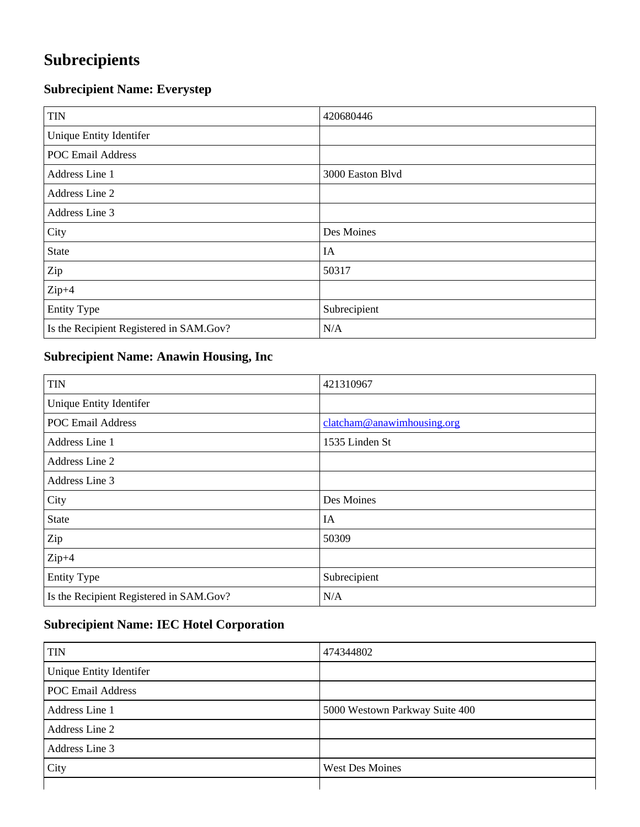## **Subrecipients**

## **Subrecipient Name: Everystep**

| <b>TIN</b>                              | 420680446        |
|-----------------------------------------|------------------|
| Unique Entity Identifer                 |                  |
| <b>POC Email Address</b>                |                  |
| Address Line 1                          | 3000 Easton Blvd |
| Address Line 2                          |                  |
| Address Line 3                          |                  |
| City                                    | Des Moines       |
| <b>State</b>                            | IA               |
| Zip                                     | 50317            |
| $Zip+4$                                 |                  |
| <b>Entity Type</b>                      | Subrecipient     |
| Is the Recipient Registered in SAM.Gov? | N/A              |

## **Subrecipient Name: Anawin Housing, Inc**

| <b>TIN</b>                              | 421310967                  |
|-----------------------------------------|----------------------------|
| Unique Entity Identifer                 |                            |
| <b>POC Email Address</b>                | clatcham@anawimhousing.org |
| Address Line 1                          | 1535 Linden St             |
| Address Line 2                          |                            |
| Address Line 3                          |                            |
| City                                    | Des Moines                 |
| <b>State</b>                            | IA                         |
| Zip                                     | 50309                      |
| $Zip+4$                                 |                            |
| <b>Entity Type</b>                      | Subrecipient               |
| Is the Recipient Registered in SAM.Gov? | N/A                        |

### **Subrecipient Name: IEC Hotel Corporation**

| <b>TIN</b>               | 474344802                      |
|--------------------------|--------------------------------|
| Unique Entity Identifer  |                                |
| <b>POC Email Address</b> |                                |
| Address Line 1           | 5000 Westown Parkway Suite 400 |
| Address Line 2           |                                |
| Address Line 3           |                                |
| City                     | <b>West Des Moines</b>         |
|                          |                                |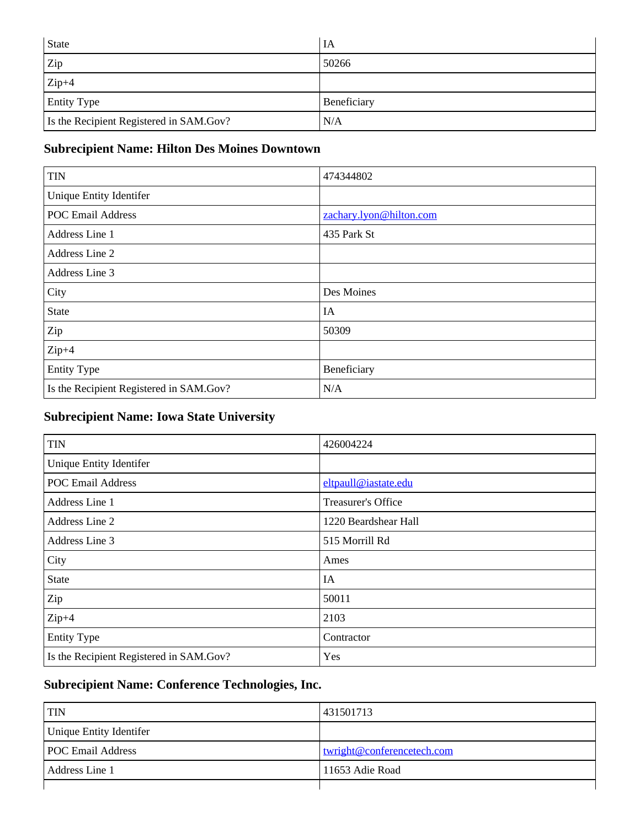| <b>State</b>                            | IA          |
|-----------------------------------------|-------------|
| Zip                                     | 50266       |
| $Zip+4$                                 |             |
| <b>Entity Type</b>                      | Beneficiary |
| Is the Recipient Registered in SAM.Gov? | N/A         |

## **Subrecipient Name: Hilton Des Moines Downtown**

| <b>TIN</b>                              | 474344802               |
|-----------------------------------------|-------------------------|
| Unique Entity Identifer                 |                         |
| <b>POC Email Address</b>                | zachary.lyon@hilton.com |
| Address Line 1                          | 435 Park St             |
| Address Line 2                          |                         |
| Address Line 3                          |                         |
| City                                    | Des Moines              |
| <b>State</b>                            | IA                      |
| Zip                                     | 50309                   |
| $Zip+4$                                 |                         |
| <b>Entity Type</b>                      | Beneficiary             |
| Is the Recipient Registered in SAM.Gov? | N/A                     |

## **Subrecipient Name: Iowa State University**

| <b>TIN</b>                              | 426004224            |
|-----------------------------------------|----------------------|
| Unique Entity Identifer                 |                      |
| <b>POC Email Address</b>                | eltpaull@iastate.edu |
| Address Line 1                          | Treasurer's Office   |
| Address Line 2                          | 1220 Beardshear Hall |
| Address Line 3                          | 515 Morrill Rd       |
| City                                    | Ames                 |
| <b>State</b>                            | IA                   |
| Zip                                     | 50011                |
| $Zip+4$                                 | 2103                 |
| <b>Entity Type</b>                      | Contractor           |
| Is the Recipient Registered in SAM.Gov? | Yes                  |

## **Subrecipient Name: Conference Technologies, Inc.**

| <b>TIN</b>               | 431501713                  |
|--------------------------|----------------------------|
| Unique Entity Identifer  |                            |
| <b>POC Email Address</b> | twright@conferencetech.com |
| Address Line 1           | 11653 Adie Road            |
|                          |                            |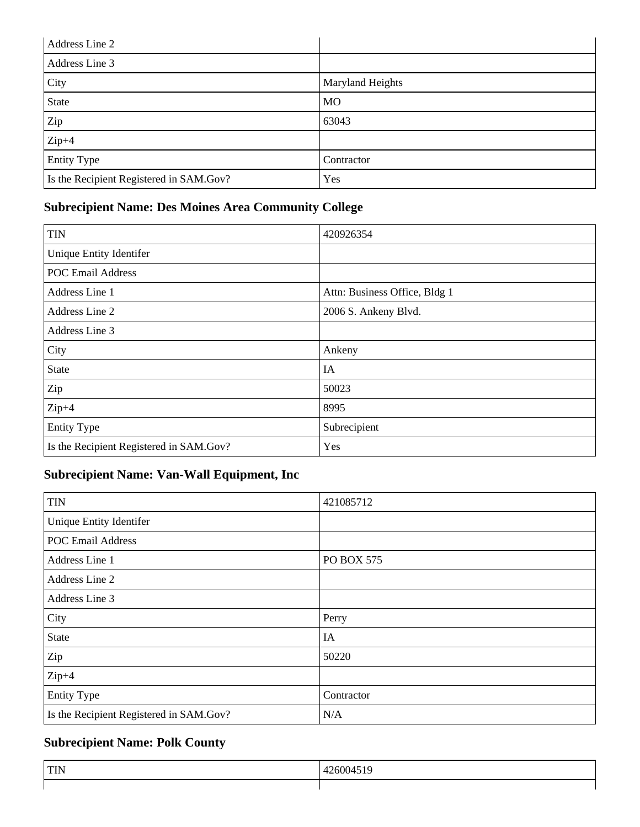| Address Line 2                          |                         |
|-----------------------------------------|-------------------------|
| Address Line 3                          |                         |
| City                                    | <b>Maryland Heights</b> |
| State                                   | <b>MO</b>               |
| Zip                                     | 63043                   |
| $Zip+4$                                 |                         |
| <b>Entity Type</b>                      | Contractor              |
| Is the Recipient Registered in SAM.Gov? | Yes                     |

## **Subrecipient Name: Des Moines Area Community College**

| <b>TIN</b>                              | 420926354                     |
|-----------------------------------------|-------------------------------|
| Unique Entity Identifer                 |                               |
| <b>POC Email Address</b>                |                               |
| Address Line 1                          | Attn: Business Office, Bldg 1 |
| Address Line 2                          | 2006 S. Ankeny Blvd.          |
| Address Line 3                          |                               |
| City                                    | Ankeny                        |
| <b>State</b>                            | IA                            |
| Zip                                     | 50023                         |
| $Zip+4$                                 | 8995                          |
| <b>Entity Type</b>                      | Subrecipient                  |
| Is the Recipient Registered in SAM.Gov? | Yes                           |

## **Subrecipient Name: Van-Wall Equipment, Inc**

| <b>TIN</b>                              | 421085712  |
|-----------------------------------------|------------|
| Unique Entity Identifer                 |            |
| <b>POC Email Address</b>                |            |
| Address Line 1                          | PO BOX 575 |
| Address Line 2                          |            |
| Address Line 3                          |            |
| City                                    | Perry      |
| <b>State</b>                            | IA         |
| Zip                                     | 50220      |
| $Zip+4$                                 |            |
| <b>Entity Type</b>                      | Contractor |
| Is the Recipient Registered in SAM.Gov? | N/A        |

## **Subrecipient Name: Polk County**

| <b>TIM</b><br>$1 \text{m}$ | - 14<br>__ |
|----------------------------|------------|
|                            |            |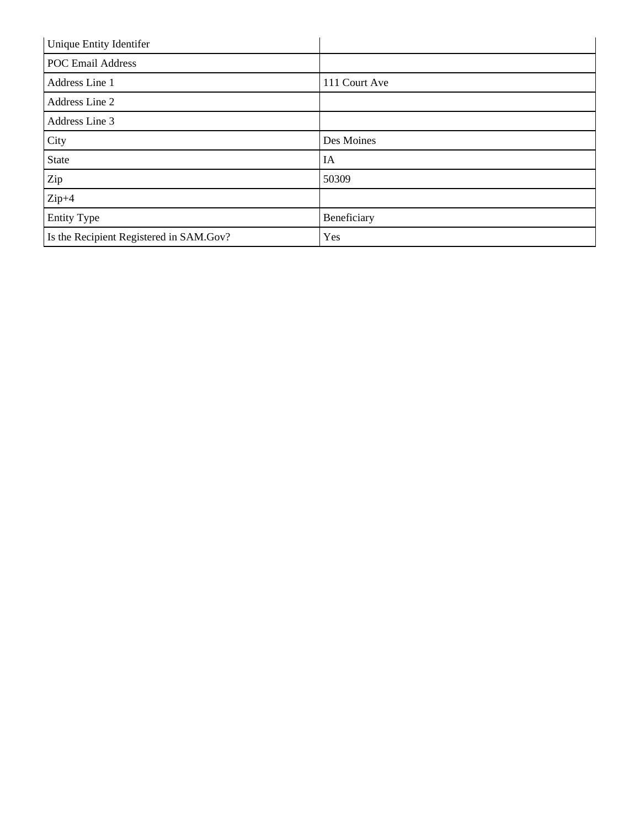| Unique Entity Identifer                 |               |
|-----------------------------------------|---------------|
| <b>POC Email Address</b>                |               |
| Address Line 1                          | 111 Court Ave |
| Address Line 2                          |               |
| Address Line 3                          |               |
| City                                    | Des Moines    |
| <b>State</b>                            | IA            |
| Zip                                     | 50309         |
| $Zip+4$                                 |               |
| <b>Entity Type</b>                      | Beneficiary   |
| Is the Recipient Registered in SAM.Gov? | Yes           |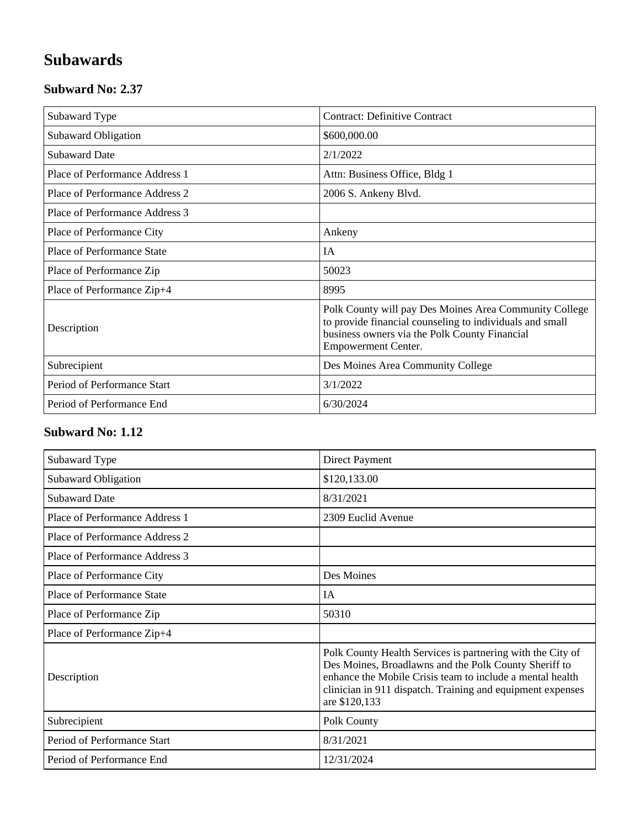## **Subawards**

#### **Subward No: 2.37**

| Subaward Type                  | <b>Contract: Definitive Contract</b>                                                                                                                                                              |
|--------------------------------|---------------------------------------------------------------------------------------------------------------------------------------------------------------------------------------------------|
| Subaward Obligation            | \$600,000.00                                                                                                                                                                                      |
| <b>Subaward Date</b>           | 2/1/2022                                                                                                                                                                                          |
| Place of Performance Address 1 | Attn: Business Office, Bldg 1                                                                                                                                                                     |
| Place of Performance Address 2 | 2006 S. Ankeny Blvd.                                                                                                                                                                              |
| Place of Performance Address 3 |                                                                                                                                                                                                   |
| Place of Performance City      | Ankeny                                                                                                                                                                                            |
| Place of Performance State     | IA                                                                                                                                                                                                |
| Place of Performance Zip       | 50023                                                                                                                                                                                             |
| Place of Performance Zip+4     | 8995                                                                                                                                                                                              |
| Description                    | Polk County will pay Des Moines Area Community College<br>to provide financial counseling to individuals and small<br>business owners via the Polk County Financial<br><b>Empowerment Center.</b> |
| Subrecipient                   | Des Moines Area Community College                                                                                                                                                                 |
| Period of Performance Start    | 3/1/2022                                                                                                                                                                                          |
| Period of Performance End      | 6/30/2024                                                                                                                                                                                         |

#### **Subward No: 1.12**

| Subaward Type                     | Direct Payment                                                                                                                                                                                                                                                  |
|-----------------------------------|-----------------------------------------------------------------------------------------------------------------------------------------------------------------------------------------------------------------------------------------------------------------|
| Subaward Obligation               | \$120,133.00                                                                                                                                                                                                                                                    |
| <b>Subaward Date</b>              | 8/31/2021                                                                                                                                                                                                                                                       |
| Place of Performance Address 1    | 2309 Euclid Avenue                                                                                                                                                                                                                                              |
| Place of Performance Address 2    |                                                                                                                                                                                                                                                                 |
| Place of Performance Address 3    |                                                                                                                                                                                                                                                                 |
| Place of Performance City         | Des Moines                                                                                                                                                                                                                                                      |
| <b>Place of Performance State</b> | IA                                                                                                                                                                                                                                                              |
| Place of Performance Zip          | 50310                                                                                                                                                                                                                                                           |
| Place of Performance Zip+4        |                                                                                                                                                                                                                                                                 |
| Description                       | Polk County Health Services is partnering with the City of<br>Des Moines, Broadlawns and the Polk County Sheriff to<br>enhance the Mobile Crisis team to include a mental health<br>clinician in 911 dispatch. Training and equipment expenses<br>are \$120,133 |
| Subrecipient                      | Polk County                                                                                                                                                                                                                                                     |
| Period of Performance Start       | 8/31/2021                                                                                                                                                                                                                                                       |
| Period of Performance End         | 12/31/2024                                                                                                                                                                                                                                                      |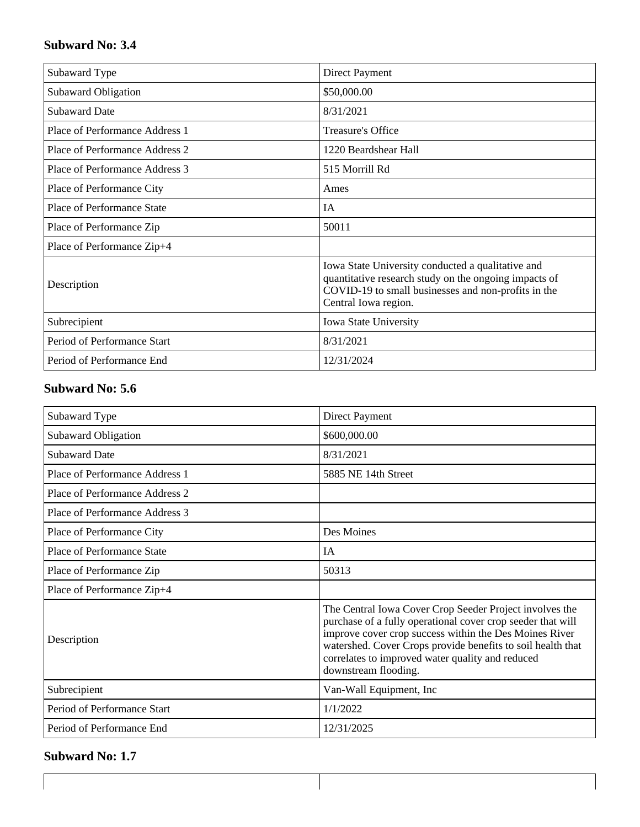#### **Subward No: 3.4**

| Subaward Type                     | Direct Payment                                                                                                                                                                            |
|-----------------------------------|-------------------------------------------------------------------------------------------------------------------------------------------------------------------------------------------|
| Subaward Obligation               | \$50,000.00                                                                                                                                                                               |
| <b>Subaward Date</b>              | 8/31/2021                                                                                                                                                                                 |
| Place of Performance Address 1    | Treasure's Office                                                                                                                                                                         |
| Place of Performance Address 2    | 1220 Beardshear Hall                                                                                                                                                                      |
| Place of Performance Address 3    | 515 Morrill Rd                                                                                                                                                                            |
| Place of Performance City         | Ames                                                                                                                                                                                      |
| <b>Place of Performance State</b> | IA                                                                                                                                                                                        |
| Place of Performance Zip          | 50011                                                                                                                                                                                     |
| Place of Performance Zip+4        |                                                                                                                                                                                           |
| Description                       | Iowa State University conducted a qualitative and<br>quantitative research study on the ongoing impacts of<br>COVID-19 to small businesses and non-profits in the<br>Central Iowa region. |
| Subrecipient                      | Iowa State University                                                                                                                                                                     |
| Period of Performance Start       | 8/31/2021                                                                                                                                                                                 |
| Period of Performance End         | 12/31/2024                                                                                                                                                                                |

#### **Subward No: 5.6**

| Subaward Type                  | Direct Payment                                                                                                                                                                                                                                                                                                              |
|--------------------------------|-----------------------------------------------------------------------------------------------------------------------------------------------------------------------------------------------------------------------------------------------------------------------------------------------------------------------------|
| <b>Subaward Obligation</b>     | \$600,000.00                                                                                                                                                                                                                                                                                                                |
| <b>Subaward Date</b>           | 8/31/2021                                                                                                                                                                                                                                                                                                                   |
| Place of Performance Address 1 | 5885 NE 14th Street                                                                                                                                                                                                                                                                                                         |
| Place of Performance Address 2 |                                                                                                                                                                                                                                                                                                                             |
| Place of Performance Address 3 |                                                                                                                                                                                                                                                                                                                             |
| Place of Performance City      | Des Moines                                                                                                                                                                                                                                                                                                                  |
| Place of Performance State     | <b>IA</b>                                                                                                                                                                                                                                                                                                                   |
| Place of Performance Zip       | 50313                                                                                                                                                                                                                                                                                                                       |
| Place of Performance Zip+4     |                                                                                                                                                                                                                                                                                                                             |
| Description                    | The Central Iowa Cover Crop Seeder Project involves the<br>purchase of a fully operational cover crop seeder that will<br>improve cover crop success within the Des Moines River<br>watershed. Cover Crops provide benefits to soil health that<br>correlates to improved water quality and reduced<br>downstream flooding. |
| Subrecipient                   | Van-Wall Equipment, Inc.                                                                                                                                                                                                                                                                                                    |
| Period of Performance Start    | 1/1/2022                                                                                                                                                                                                                                                                                                                    |
| Period of Performance End      | 12/31/2025                                                                                                                                                                                                                                                                                                                  |

#### **Subward No: 1.7**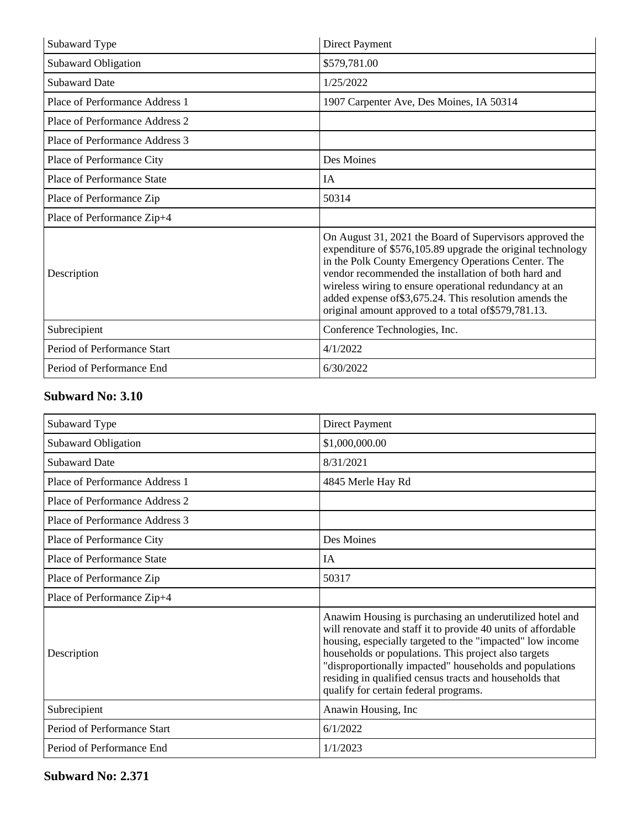| Subaward Type                     | Direct Payment                                                                                                                                                                                                                                                                                                                                                                                                      |
|-----------------------------------|---------------------------------------------------------------------------------------------------------------------------------------------------------------------------------------------------------------------------------------------------------------------------------------------------------------------------------------------------------------------------------------------------------------------|
| Subaward Obligation               | \$579,781.00                                                                                                                                                                                                                                                                                                                                                                                                        |
| <b>Subaward Date</b>              | 1/25/2022                                                                                                                                                                                                                                                                                                                                                                                                           |
| Place of Performance Address 1    | 1907 Carpenter Ave, Des Moines, IA 50314                                                                                                                                                                                                                                                                                                                                                                            |
| Place of Performance Address 2    |                                                                                                                                                                                                                                                                                                                                                                                                                     |
| Place of Performance Address 3    |                                                                                                                                                                                                                                                                                                                                                                                                                     |
| Place of Performance City         | Des Moines                                                                                                                                                                                                                                                                                                                                                                                                          |
| <b>Place of Performance State</b> | IA                                                                                                                                                                                                                                                                                                                                                                                                                  |
| Place of Performance Zip          | 50314                                                                                                                                                                                                                                                                                                                                                                                                               |
| Place of Performance Zip+4        |                                                                                                                                                                                                                                                                                                                                                                                                                     |
| Description                       | On August 31, 2021 the Board of Supervisors approved the<br>expenditure of \$576,105.89 upgrade the original technology<br>in the Polk County Emergency Operations Center. The<br>vendor recommended the installation of both hard and<br>wireless wiring to ensure operational redundancy at an<br>added expense of \$3,675.24. This resolution amends the<br>original amount approved to a total of \$579,781.13. |
| Subrecipient                      | Conference Technologies, Inc.                                                                                                                                                                                                                                                                                                                                                                                       |
| Period of Performance Start       | 4/1/2022                                                                                                                                                                                                                                                                                                                                                                                                            |
| Period of Performance End         | 6/30/2022                                                                                                                                                                                                                                                                                                                                                                                                           |

#### **Subward No: 3.10**

| Subaward Type                  | <b>Direct Payment</b>                                                                                                                                                                                                                                                                                                                                                                                       |
|--------------------------------|-------------------------------------------------------------------------------------------------------------------------------------------------------------------------------------------------------------------------------------------------------------------------------------------------------------------------------------------------------------------------------------------------------------|
| Subaward Obligation            | \$1,000,000.00                                                                                                                                                                                                                                                                                                                                                                                              |
| <b>Subaward Date</b>           | 8/31/2021                                                                                                                                                                                                                                                                                                                                                                                                   |
| Place of Performance Address 1 | 4845 Merle Hay Rd                                                                                                                                                                                                                                                                                                                                                                                           |
| Place of Performance Address 2 |                                                                                                                                                                                                                                                                                                                                                                                                             |
| Place of Performance Address 3 |                                                                                                                                                                                                                                                                                                                                                                                                             |
| Place of Performance City      | Des Moines                                                                                                                                                                                                                                                                                                                                                                                                  |
| Place of Performance State     | <b>IA</b>                                                                                                                                                                                                                                                                                                                                                                                                   |
| Place of Performance Zip       | 50317                                                                                                                                                                                                                                                                                                                                                                                                       |
| Place of Performance Zip+4     |                                                                                                                                                                                                                                                                                                                                                                                                             |
| Description                    | Anawim Housing is purchasing an underutilized hotel and<br>will renovate and staff it to provide 40 units of affordable<br>housing, especially targeted to the "impacted" low income<br>households or populations. This project also targets<br>"disproportionally impacted" households and populations<br>residing in qualified census tracts and households that<br>qualify for certain federal programs. |
| Subrecipient                   | Anawin Housing, Inc.                                                                                                                                                                                                                                                                                                                                                                                        |
| Period of Performance Start    | 6/1/2022                                                                                                                                                                                                                                                                                                                                                                                                    |
| Period of Performance End      | 1/1/2023                                                                                                                                                                                                                                                                                                                                                                                                    |

**Subward No: 2.371**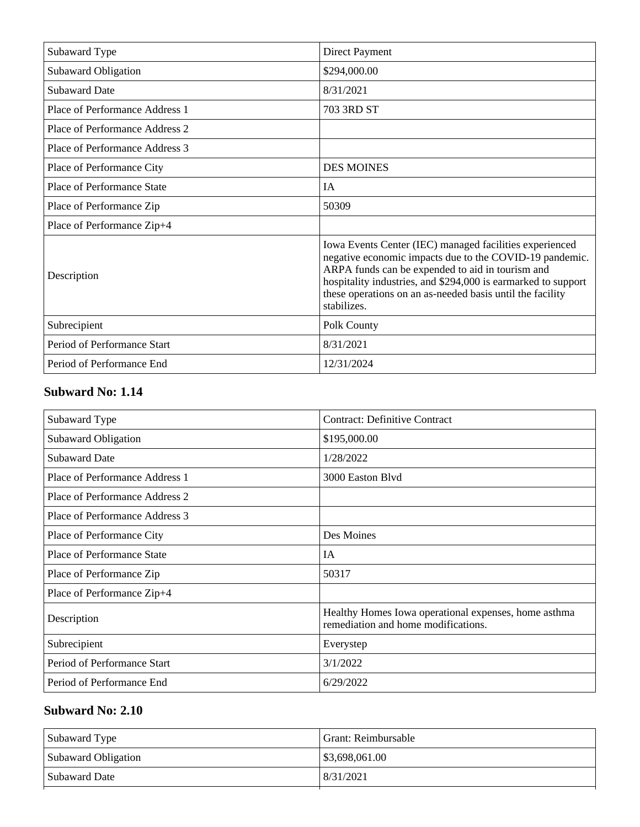| Subaward Type                     | Direct Payment                                                                                                                                                                                                                                                                                                      |
|-----------------------------------|---------------------------------------------------------------------------------------------------------------------------------------------------------------------------------------------------------------------------------------------------------------------------------------------------------------------|
| <b>Subaward Obligation</b>        | \$294,000.00                                                                                                                                                                                                                                                                                                        |
| <b>Subaward Date</b>              | 8/31/2021                                                                                                                                                                                                                                                                                                           |
| Place of Performance Address 1    | 703 3RD ST                                                                                                                                                                                                                                                                                                          |
| Place of Performance Address 2    |                                                                                                                                                                                                                                                                                                                     |
| Place of Performance Address 3    |                                                                                                                                                                                                                                                                                                                     |
| Place of Performance City         | <b>DES MOINES</b>                                                                                                                                                                                                                                                                                                   |
| <b>Place of Performance State</b> | <b>IA</b>                                                                                                                                                                                                                                                                                                           |
| Place of Performance Zip          | 50309                                                                                                                                                                                                                                                                                                               |
| Place of Performance Zip+4        |                                                                                                                                                                                                                                                                                                                     |
| Description                       | Iowa Events Center (IEC) managed facilities experienced<br>negative economic impacts due to the COVID-19 pandemic.<br>ARPA funds can be expended to aid in tourism and<br>hospitality industries, and \$294,000 is earmarked to support<br>these operations on an as-needed basis until the facility<br>stabilizes. |
| Subrecipient                      | Polk County                                                                                                                                                                                                                                                                                                         |
| Period of Performance Start       | 8/31/2021                                                                                                                                                                                                                                                                                                           |
| Period of Performance End         | 12/31/2024                                                                                                                                                                                                                                                                                                          |

#### **Subward No: 1.14**

| Subaward Type                  | <b>Contract: Definitive Contract</b>                                                        |
|--------------------------------|---------------------------------------------------------------------------------------------|
| Subaward Obligation            | \$195,000.00                                                                                |
| <b>Subaward Date</b>           | 1/28/2022                                                                                   |
| Place of Performance Address 1 | 3000 Easton Blyd                                                                            |
| Place of Performance Address 2 |                                                                                             |
| Place of Performance Address 3 |                                                                                             |
| Place of Performance City      | Des Moines                                                                                  |
| Place of Performance State     | IA                                                                                          |
| Place of Performance Zip       | 50317                                                                                       |
| Place of Performance Zip+4     |                                                                                             |
| Description                    | Healthy Homes Iowa operational expenses, home asthma<br>remediation and home modifications. |
| Subrecipient                   | Everystep                                                                                   |
| Period of Performance Start    | 3/1/2022                                                                                    |
| Period of Performance End      | 6/29/2022                                                                                   |

#### **Subward No: 2.10**

| Subaward Type       | Grant: Reimbursable |
|---------------------|---------------------|
| Subaward Obligation | \$3,698,061.00      |
| Subaward Date       | 8/31/2021           |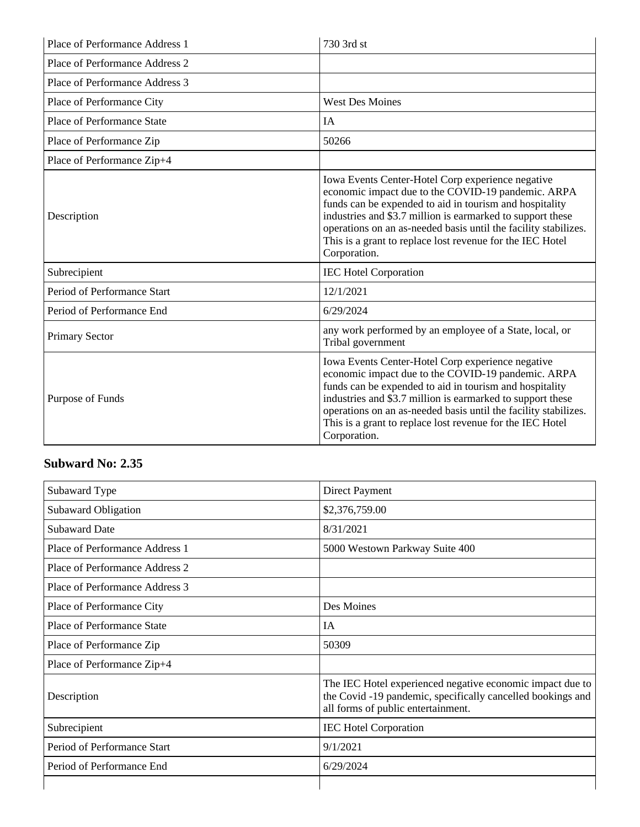| Place of Performance Address 1    | 730 3rd st                                                                                                                                                                                                                                                                                                                                                                       |
|-----------------------------------|----------------------------------------------------------------------------------------------------------------------------------------------------------------------------------------------------------------------------------------------------------------------------------------------------------------------------------------------------------------------------------|
| Place of Performance Address 2    |                                                                                                                                                                                                                                                                                                                                                                                  |
| Place of Performance Address 3    |                                                                                                                                                                                                                                                                                                                                                                                  |
| Place of Performance City         | <b>West Des Moines</b>                                                                                                                                                                                                                                                                                                                                                           |
| <b>Place of Performance State</b> | IA                                                                                                                                                                                                                                                                                                                                                                               |
| Place of Performance Zip          | 50266                                                                                                                                                                                                                                                                                                                                                                            |
| Place of Performance Zip+4        |                                                                                                                                                                                                                                                                                                                                                                                  |
| Description                       | Iowa Events Center-Hotel Corp experience negative<br>economic impact due to the COVID-19 pandemic. ARPA<br>funds can be expended to aid in tourism and hospitality<br>industries and \$3.7 million is earmarked to support these<br>operations on an as-needed basis until the facility stabilizes.<br>This is a grant to replace lost revenue for the IEC Hotel<br>Corporation. |
| Subrecipient                      | <b>IEC Hotel Corporation</b>                                                                                                                                                                                                                                                                                                                                                     |
| Period of Performance Start       | 12/1/2021                                                                                                                                                                                                                                                                                                                                                                        |
| Period of Performance End         | 6/29/2024                                                                                                                                                                                                                                                                                                                                                                        |
| <b>Primary Sector</b>             | any work performed by an employee of a State, local, or<br>Tribal government                                                                                                                                                                                                                                                                                                     |
| Purpose of Funds                  | Iowa Events Center-Hotel Corp experience negative<br>economic impact due to the COVID-19 pandemic. ARPA<br>funds can be expended to aid in tourism and hospitality<br>industries and \$3.7 million is earmarked to support these<br>operations on an as-needed basis until the facility stabilizes.<br>This is a grant to replace lost revenue for the IEC Hotel<br>Corporation. |

## **Subward No: 2.35**

| Subaward Type                     | Direct Payment                                                                                                                                                |
|-----------------------------------|---------------------------------------------------------------------------------------------------------------------------------------------------------------|
| Subaward Obligation               | \$2,376,759.00                                                                                                                                                |
| <b>Subaward Date</b>              | 8/31/2021                                                                                                                                                     |
| Place of Performance Address 1    | 5000 Westown Parkway Suite 400                                                                                                                                |
| Place of Performance Address 2    |                                                                                                                                                               |
| Place of Performance Address 3    |                                                                                                                                                               |
| Place of Performance City         | Des Moines                                                                                                                                                    |
| <b>Place of Performance State</b> | IA                                                                                                                                                            |
| Place of Performance Zip          | 50309                                                                                                                                                         |
| Place of Performance Zip+4        |                                                                                                                                                               |
| Description                       | The IEC Hotel experienced negative economic impact due to<br>the Covid-19 pandemic, specifically cancelled bookings and<br>all forms of public entertainment. |
| Subrecipient                      | <b>IEC Hotel Corporation</b>                                                                                                                                  |
| Period of Performance Start       | 9/1/2021                                                                                                                                                      |
| Period of Performance End         | 6/29/2024                                                                                                                                                     |
|                                   |                                                                                                                                                               |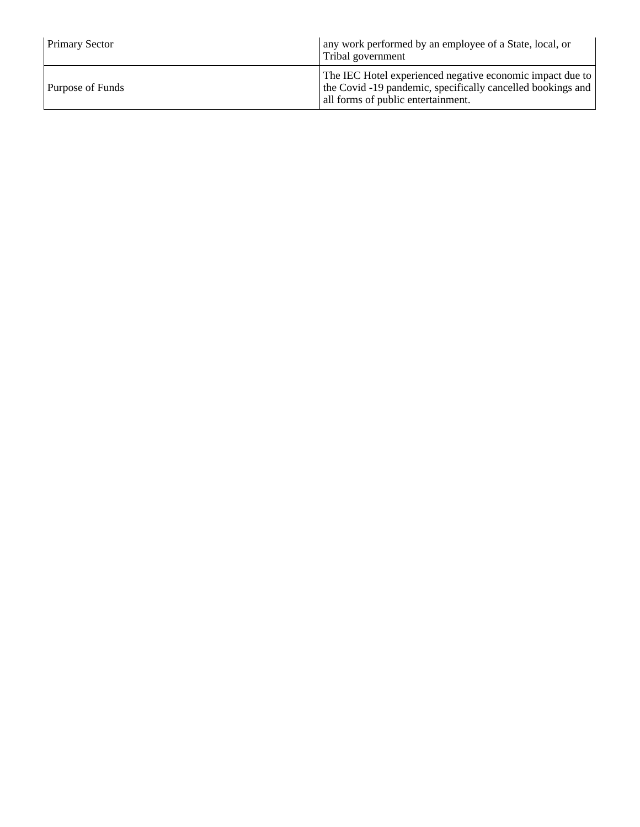| <b>Primary Sector</b> | any work performed by an employee of a State, local, or<br>Tribal government                                                                                   |
|-----------------------|----------------------------------------------------------------------------------------------------------------------------------------------------------------|
| Purpose of Funds      | The IEC Hotel experienced negative economic impact due to<br>the Covid -19 pandemic, specifically cancelled bookings and<br>all forms of public entertainment. |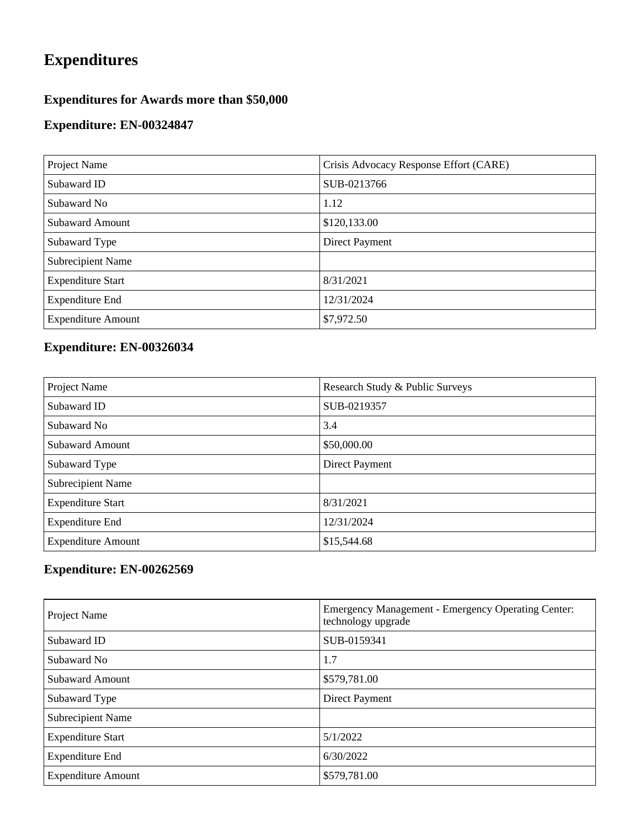## **Expenditures**

## **Expenditures for Awards more than \$50,000**

#### **Expenditure: EN-00324847**

| Project Name              | Crisis Advocacy Response Effort (CARE) |
|---------------------------|----------------------------------------|
| Subaward ID               | SUB-0213766                            |
| Subaward No               | 1.12                                   |
| <b>Subaward Amount</b>    | \$120,133.00                           |
| Subaward Type             | Direct Payment                         |
| <b>Subrecipient Name</b>  |                                        |
| <b>Expenditure Start</b>  | 8/31/2021                              |
| <b>Expenditure End</b>    | 12/31/2024                             |
| <b>Expenditure Amount</b> | \$7,972.50                             |

## **Expenditure: EN-00326034**

| Project Name              | Research Study & Public Surveys |
|---------------------------|---------------------------------|
| Subaward ID               | SUB-0219357                     |
| Subaward No               | 3.4                             |
| <b>Subaward Amount</b>    | \$50,000.00                     |
| Subaward Type             | Direct Payment                  |
| <b>Subrecipient Name</b>  |                                 |
| <b>Expenditure Start</b>  | 8/31/2021                       |
| <b>Expenditure End</b>    | 12/31/2024                      |
| <b>Expenditure Amount</b> | \$15,544.68                     |

#### **Expenditure: EN-00262569**

| Project Name              | Emergency Management - Emergency Operating Center:<br>technology upgrade |
|---------------------------|--------------------------------------------------------------------------|
| Subaward ID               | SUB-0159341                                                              |
| Subaward No               | 1.7                                                                      |
| <b>Subaward Amount</b>    | \$579,781.00                                                             |
| Subaward Type             | Direct Payment                                                           |
| Subrecipient Name         |                                                                          |
| <b>Expenditure Start</b>  | 5/1/2022                                                                 |
| <b>Expenditure End</b>    | 6/30/2022                                                                |
| <b>Expenditure Amount</b> | \$579,781.00                                                             |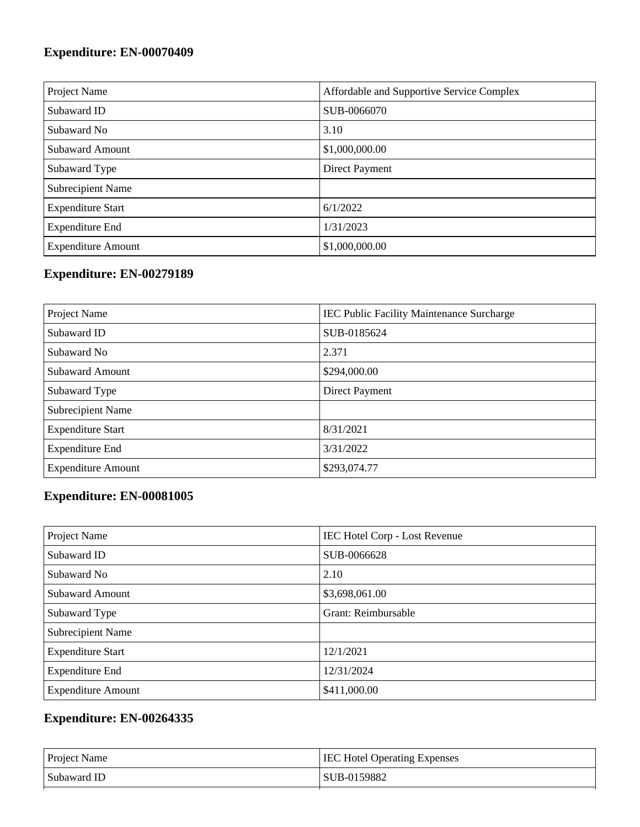## **Expenditure: EN-00070409**

| Project Name              | Affordable and Supportive Service Complex |
|---------------------------|-------------------------------------------|
| Subaward ID               | SUB-0066070                               |
| Subaward No               | 3.10                                      |
| <b>Subaward Amount</b>    | \$1,000,000.00                            |
| Subaward Type             | Direct Payment                            |
| Subrecipient Name         |                                           |
| <b>Expenditure Start</b>  | 6/1/2022                                  |
| <b>Expenditure End</b>    | 1/31/2023                                 |
| <b>Expenditure Amount</b> | \$1,000,000.00                            |

## **Expenditure: EN-00279189**

| Project Name              | IEC Public Facility Maintenance Surcharge |
|---------------------------|-------------------------------------------|
| Subaward ID               | SUB-0185624                               |
| Subaward No               | 2.371                                     |
| Subaward Amount           | \$294,000.00                              |
| Subaward Type             | Direct Payment                            |
| Subrecipient Name         |                                           |
| <b>Expenditure Start</b>  | 8/31/2021                                 |
| <b>Expenditure End</b>    | 3/31/2022                                 |
| <b>Expenditure Amount</b> | \$293,074.77                              |

## **Expenditure: EN-00081005**

| Project Name              | <b>IEC Hotel Corp - Lost Revenue</b> |
|---------------------------|--------------------------------------|
| Subaward ID               | SUB-0066628                          |
| Subaward No               | 2.10                                 |
| <b>Subaward Amount</b>    | \$3,698,061.00                       |
| Subaward Type             | Grant: Reimbursable                  |
| <b>Subrecipient Name</b>  |                                      |
| <b>Expenditure Start</b>  | 12/1/2021                            |
| <b>Expenditure End</b>    | 12/31/2024                           |
| <b>Expenditure Amount</b> | \$411,000.00                         |

## **Expenditure: EN-00264335**

| <b>Project Name</b> | <b>IEC Hotel Operating Expenses</b> |
|---------------------|-------------------------------------|
| Subaward ID         | SUB-0159882                         |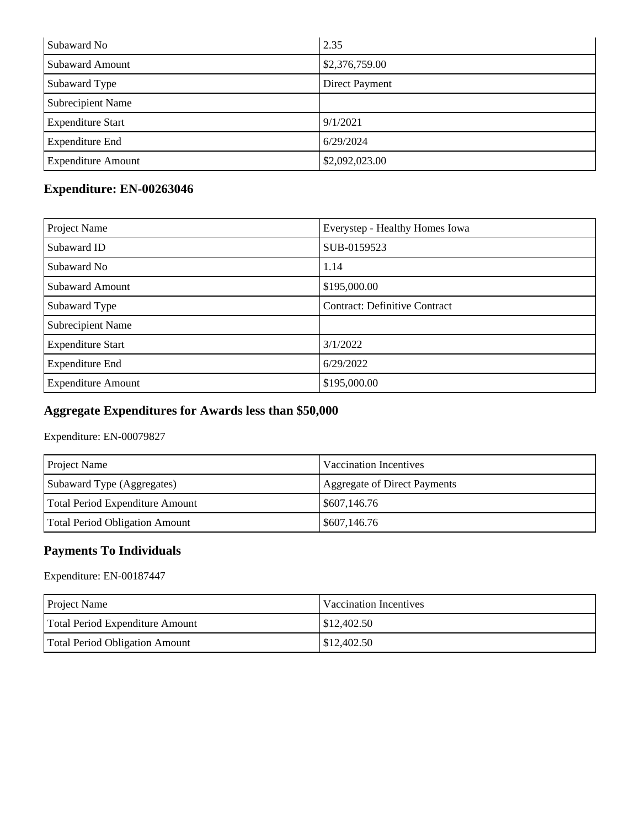| Subaward No               | 2.35           |
|---------------------------|----------------|
| <b>Subaward Amount</b>    | \$2,376,759.00 |
| Subaward Type             | Direct Payment |
| <b>Subrecipient Name</b>  |                |
| <b>Expenditure Start</b>  | 9/1/2021       |
| <b>Expenditure End</b>    | 6/29/2024      |
| <b>Expenditure Amount</b> | \$2,092,023.00 |

## **Expenditure: EN-00263046**

| Project Name              | Everystep - Healthy Homes Iowa       |
|---------------------------|--------------------------------------|
| Subaward ID               | SUB-0159523                          |
| Subaward No               | 1.14                                 |
| Subaward Amount           | \$195,000.00                         |
| Subaward Type             | <b>Contract: Definitive Contract</b> |
| Subrecipient Name         |                                      |
| <b>Expenditure Start</b>  | 3/1/2022                             |
| <b>Expenditure End</b>    | 6/29/2022                            |
| <b>Expenditure Amount</b> | \$195,000.00                         |

## **Aggregate Expenditures for Awards less than \$50,000**

Expenditure: EN-00079827

| <b>Project Name</b>             | Vaccination Incentives       |
|---------------------------------|------------------------------|
| Subaward Type (Aggregates)      | Aggregate of Direct Payments |
| Total Period Expenditure Amount | \$607,146.76                 |
| Total Period Obligation Amount  | \$607,146.76                 |

#### **Payments To Individuals**

Expenditure: EN-00187447

| <b>Project Name</b>                   | Vaccination Incentives |
|---------------------------------------|------------------------|
| Total Period Expenditure Amount       | \$12,402.50            |
| <b>Total Period Obligation Amount</b> | \$12,402.50            |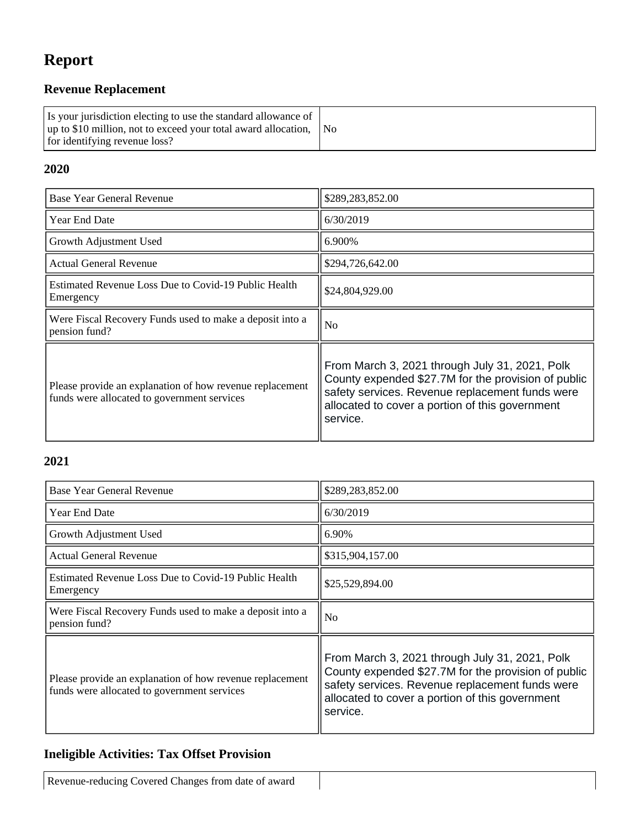## **Report**

## **Revenue Replacement**

| Is your jurisdiction electing to use the standard allowance of<br>up to \$10 million, not to exceed your total award allocation, No<br>for identifying revenue loss? |  |
|----------------------------------------------------------------------------------------------------------------------------------------------------------------------|--|
|----------------------------------------------------------------------------------------------------------------------------------------------------------------------|--|

#### **2020**

| Base Year General Revenue                                                                               | \$289,283,852.00                                                                                                                                                                                                        |
|---------------------------------------------------------------------------------------------------------|-------------------------------------------------------------------------------------------------------------------------------------------------------------------------------------------------------------------------|
| Year End Date                                                                                           | 6/30/2019                                                                                                                                                                                                               |
| Growth Adjustment Used                                                                                  | 6.900%                                                                                                                                                                                                                  |
| <b>Actual General Revenue</b>                                                                           | \$294,726,642.00                                                                                                                                                                                                        |
| <b>Estimated Revenue Loss Due to Covid-19 Public Health</b><br>Emergency                                | \$24,804,929.00                                                                                                                                                                                                         |
| Were Fiscal Recovery Funds used to make a deposit into a<br>pension fund?                               | N <sub>0</sub>                                                                                                                                                                                                          |
| Please provide an explanation of how revenue replacement<br>funds were allocated to government services | From March 3, 2021 through July 31, 2021, Polk<br>County expended \$27.7M for the provision of public<br>safety services. Revenue replacement funds were<br>allocated to cover a portion of this government<br>service. |

#### **2021**

| Base Year General Revenue                                                                               | \$289,283,852.00                                                                                                                                                                                                        |
|---------------------------------------------------------------------------------------------------------|-------------------------------------------------------------------------------------------------------------------------------------------------------------------------------------------------------------------------|
| <b>Year End Date</b>                                                                                    | 6/30/2019                                                                                                                                                                                                               |
| Growth Adjustment Used                                                                                  | 6.90%                                                                                                                                                                                                                   |
| Actual General Revenue                                                                                  | \$315,904,157.00                                                                                                                                                                                                        |
| Estimated Revenue Loss Due to Covid-19 Public Health<br>Emergency                                       | \$25,529,894.00                                                                                                                                                                                                         |
| Were Fiscal Recovery Funds used to make a deposit into a<br>pension fund?                               | N <sub>o</sub>                                                                                                                                                                                                          |
| Please provide an explanation of how revenue replacement<br>funds were allocated to government services | From March 3, 2021 through July 31, 2021, Polk<br>County expended \$27.7M for the provision of public<br>safety services. Revenue replacement funds were<br>allocated to cover a portion of this government<br>service. |

#### **Ineligible Activities: Tax Offset Provision**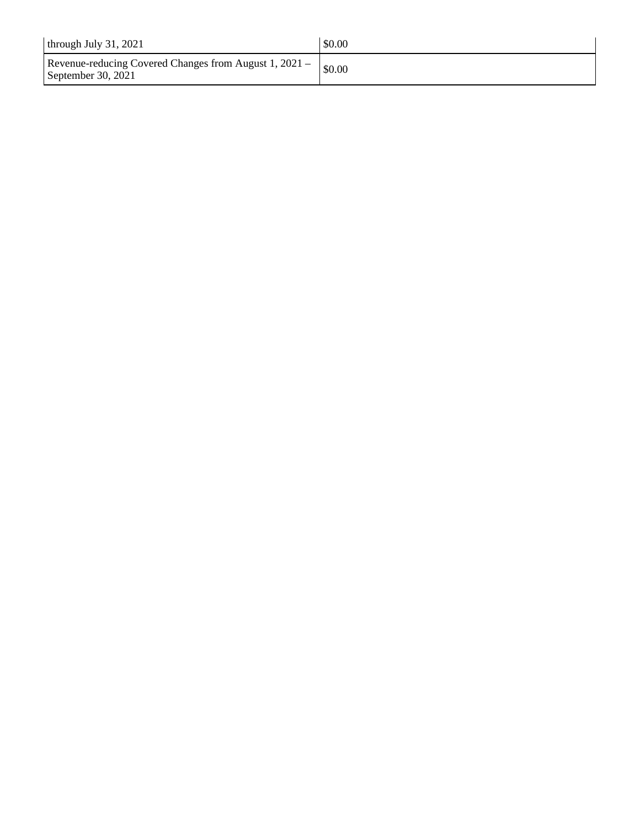| through July $31, 2021$                                                      | \$0.00 |
|------------------------------------------------------------------------------|--------|
| Revenue-reducing Covered Changes from August 1, 2021 –<br>September 30, 2021 | \$0.00 |